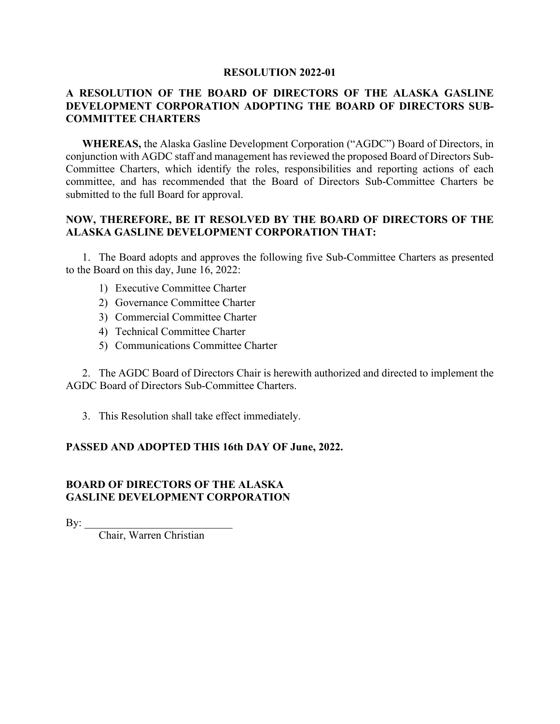## **RESOLUTION 2022-01**

## **A RESOLUTION OF THE BOARD OF DIRECTORS OF THE ALASKA GASLINE DEVELOPMENT CORPORATION ADOPTING THE BOARD OF DIRECTORS SUB-COMMITTEE CHARTERS**

**WHEREAS,** the Alaska Gasline Development Corporation ("AGDC") Board of Directors, in conjunction with AGDC staff and management has reviewed the proposed Board of Directors Sub-Committee Charters, which identify the roles, responsibilities and reporting actions of each committee, and has recommended that the Board of Directors Sub-Committee Charters be submitted to the full Board for approval.

## **NOW, THEREFORE, BE IT RESOLVED BY THE BOARD OF DIRECTORS OF THE ALASKA GASLINE DEVELOPMENT CORPORATION THAT:**

1. The Board adopts and approves the following five Sub-Committee Charters as presented to the Board on this day, June 16, 2022:

- 1) Executive Committee Charter
- 2) Governance Committee Charter
- 3) Commercial Committee Charter
- 4) Technical Committee Charter
- 5) Communications Committee Charter

2. The AGDC Board of Directors Chair is herewith authorized and directed to implement the AGDC Board of Directors Sub-Committee Charters.

3. This Resolution shall take effect immediately.

## **PASSED AND ADOPTED THIS 16th DAY OF June, 2022.**

## **BOARD OF DIRECTORS OF THE ALASKA GASLINE DEVELOPMENT CORPORATION**

By:  $\qquad$ 

Chair, Warren Christian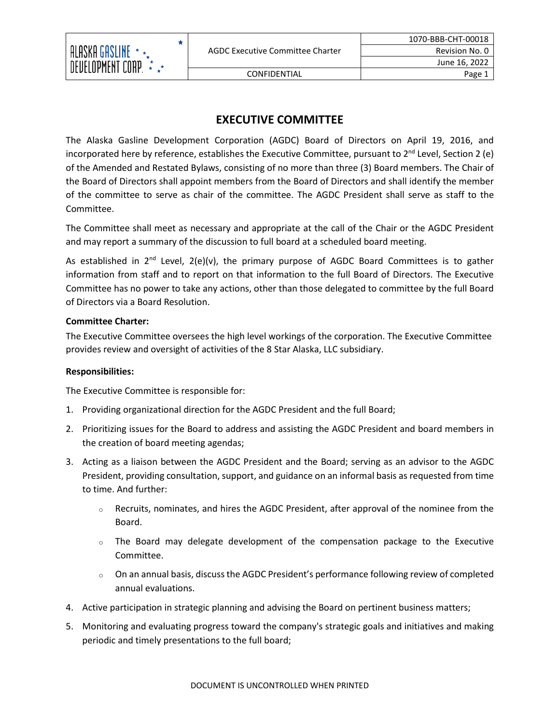

★

The Alaska Gasline Development Corporation (AGDC) Board of Directors on April 19, 2016, and incorporated here by reference, establishes the Executive Committee, pursuant to  $2^{nd}$  Level, Section 2 (e) of the Amended and Restated Bylaws, consisting of no more than three (3) Board members. The Chair of the Board of Directors shall appoint members from the Board of Directors and shall identify the member of the committee to serve as chair of the committee. The AGDC President shall serve as staff to the Committee.

The Committee shall meet as necessary and appropriate at the call of the Chair or the AGDC President and may report a summary of the discussion to full board at a scheduled board meeting.

As established in  $2^{nd}$  Level,  $2(e)(v)$ , the primary purpose of AGDC Board Committees is to gather information from staff and to report on that information to the full Board of Directors. The Executive Committee has no power to take any actions, other than those delegated to committee by the full Board of Directors via a Board Resolution.

## **Committee Charter:**

The Executive Committee oversees the high level workings of the corporation. The Executive Committee provides review and oversight of activities of the 8 Star Alaska, LLC subsidiary.

## **Responsibilities:**

The Executive Committee is responsible for:

- 1. Providing organizational direction for the AGDC President and the full Board;
- 2. Prioritizing issues for the Board to address and assisting the AGDC President and board members in the creation of board meeting agendas;
- 3. Acting as a liaison between the AGDC President and the Board; serving as an advisor to the AGDC President, providing consultation, support, and guidance on an informal basis as requested from time to time. And further:
	- $\circ$  Recruits, nominates, and hires the AGDC President, after approval of the nominee from the Board.
	- $\circ$  The Board may delegate development of the compensation package to the Executive Committee.
	- <sup>o</sup> On an annual basis, discussthe AGDC President's performance following review of completed annual evaluations.
- 4. Active participation in strategic planning and advising the Board on pertinent business matters;
- 5. Monitoring and evaluating progress toward the company's strategic goals and initiatives and making periodic and timely presentations to the full board;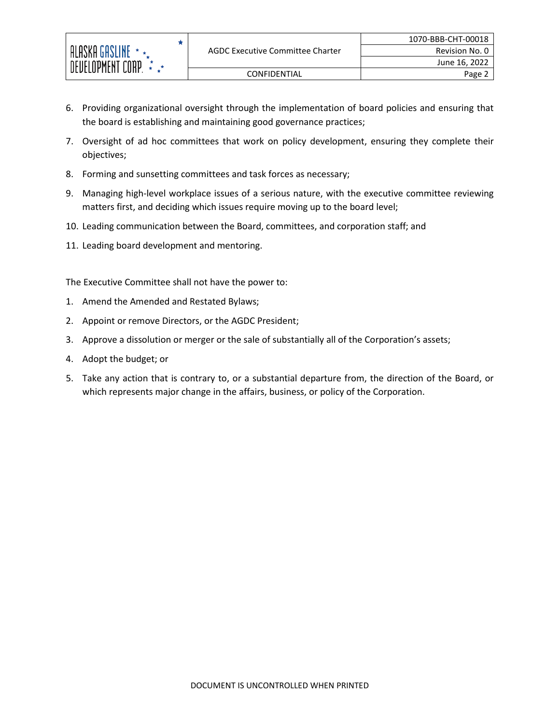- 6. Providing organizational oversight through the implementation of board policies and ensuring that the board is establishing and maintaining good governance practices;
- 7. Oversight of ad hoc committees that work on policy development, ensuring they complete their objectives;
- 8. Forming and sunsetting committees and task forces as necessary;
- 9. Managing high-level workplace issues of a serious nature, with the executive committee reviewing matters first, and deciding which issues require moving up to the board level;
- 10. Leading communication between the Board, committees, and corporation staff; and
- 11. Leading board development and mentoring.

The Executive Committee shall not have the power to:

 $\bigstar$ 

- 1. Amend the Amended and Restated Bylaws;
- 2. Appoint or remove Directors, or the AGDC President;
- 3. Approve a dissolution or merger or the sale of substantially all of the Corporation's assets;
- 4. Adopt the budget; or

ALASKA GASLINE \* \*\* DEVELOPMENT CORP.  $\vec{\star}$ 

5. Take any action that is contrary to, or a substantial departure from, the direction of the Board, or which represents major change in the affairs, business, or policy of the Corporation.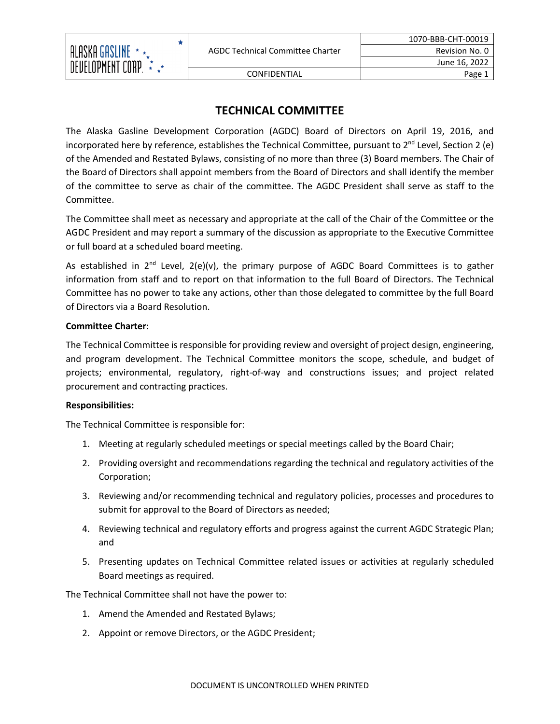

# **TECHNICAL COMMITTEE**

The Alaska Gasline Development Corporation (AGDC) Board of Directors on April 19, 2016, and incorporated here by reference, establishes the Technical Committee, pursuant to  $2^{nd}$  Level, Section 2 (e) of the Amended and Restated Bylaws, consisting of no more than three (3) Board members. The Chair of the Board of Directors shall appoint members from the Board of Directors and shall identify the member of the committee to serve as chair of the committee. The AGDC President shall serve as staff to the Committee.

The Committee shall meet as necessary and appropriate at the call of the Chair of the Committee or the AGDC President and may report a summary of the discussion as appropriate to the Executive Committee or full board at a scheduled board meeting.

As established in  $2^{nd}$  Level,  $2(e)(v)$ , the primary purpose of AGDC Board Committees is to gather information from staff and to report on that information to the full Board of Directors. The Technical Committee has no power to take any actions, other than those delegated to committee by the full Board of Directors via a Board Resolution.

## **Committee Charter**:

The Technical Committee is responsible for providing review and oversight of project design, engineering, and program development. The Technical Committee monitors the scope, schedule, and budget of projects; environmental, regulatory, right-of-way and constructions issues; and project related procurement and contracting practices.

## **Responsibilities:**

The Technical Committee is responsible for:

- 1. Meeting at regularly scheduled meetings or special meetings called by the Board Chair;
- 2. Providing oversight and recommendations regarding the technical and regulatory activities of the Corporation;
- 3. Reviewing and/or recommending technical and regulatory policies, processes and procedures to submit for approval to the Board of Directors as needed;
- 4. Reviewing technical and regulatory efforts and progress against the current AGDC Strategic Plan; and
- 5. Presenting updates on Technical Committee related issues or activities at regularly scheduled Board meetings as required.

The Technical Committee shall not have the power to:

- 1. Amend the Amended and Restated Bylaws;
- 2. Appoint or remove Directors, or the AGDC President;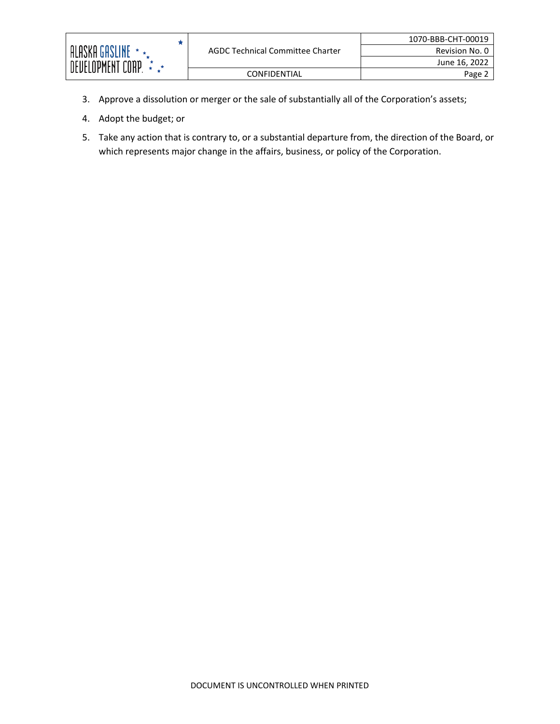| ALASKA GASLINE<br>DEVELOPMENT CORP. | AGDC Technical Committee Charter | 1070-BBB-CHT-00019 |
|-------------------------------------|----------------------------------|--------------------|
|                                     |                                  | Revision No. 0     |
|                                     |                                  | June 16, 2022      |
|                                     | <b>CONFIDENTIAL</b>              | Page $\sim$        |

- 3. Approve a dissolution or merger or the sale of substantially all of the Corporation's assets;
- 4. Adopt the budget; or
- 5. Take any action that is contrary to, or a substantial departure from, the direction of the Board, or which represents major change in the affairs, business, or policy of the Corporation.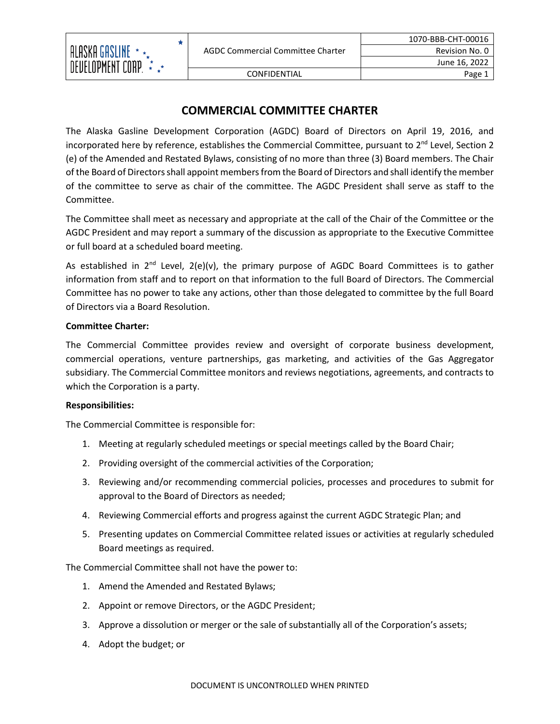

CONFIDENTIAL Page 1

# **COMMERCIAL COMMITTEE CHARTER**

The Alaska Gasline Development Corporation (AGDC) Board of Directors on April 19, 2016, and incorporated here by reference, establishes the Commercial Committee, pursuant to  $2^{nd}$  Level, Section 2 (e) of the Amended and Restated Bylaws, consisting of no more than three (3) Board members. The Chair of the Board of Directors shall appoint members from the Board of Directors and shall identify the member of the committee to serve as chair of the committee. The AGDC President shall serve as staff to the Committee.

The Committee shall meet as necessary and appropriate at the call of the Chair of the Committee or the AGDC President and may report a summary of the discussion as appropriate to the Executive Committee or full board at a scheduled board meeting.

As established in  $2^{nd}$  Level,  $2(e)(v)$ , the primary purpose of AGDC Board Committees is to gather information from staff and to report on that information to the full Board of Directors. The Commercial Committee has no power to take any actions, other than those delegated to committee by the full Board of Directors via a Board Resolution.

## **Committee Charter:**

The Commercial Committee provides review and oversight of corporate business development, commercial operations, venture partnerships, gas marketing, and activities of the Gas Aggregator subsidiary. The Commercial Committee monitors and reviews negotiations, agreements, and contracts to which the Corporation is a party.

## **Responsibilities:**

The Commercial Committee is responsible for:

- 1. Meeting at regularly scheduled meetings or special meetings called by the Board Chair;
- 2. Providing oversight of the commercial activities of the Corporation;
- 3. Reviewing and/or recommending commercial policies, processes and procedures to submit for approval to the Board of Directors as needed;
- 4. Reviewing Commercial efforts and progress against the current AGDC Strategic Plan; and
- 5. Presenting updates on Commercial Committee related issues or activities at regularly scheduled Board meetings as required.

The Commercial Committee shall not have the power to:

- 1. Amend the Amended and Restated Bylaws;
- 2. Appoint or remove Directors, or the AGDC President;
- 3. Approve a dissolution or merger or the sale of substantially all of the Corporation's assets;
- 4. Adopt the budget; or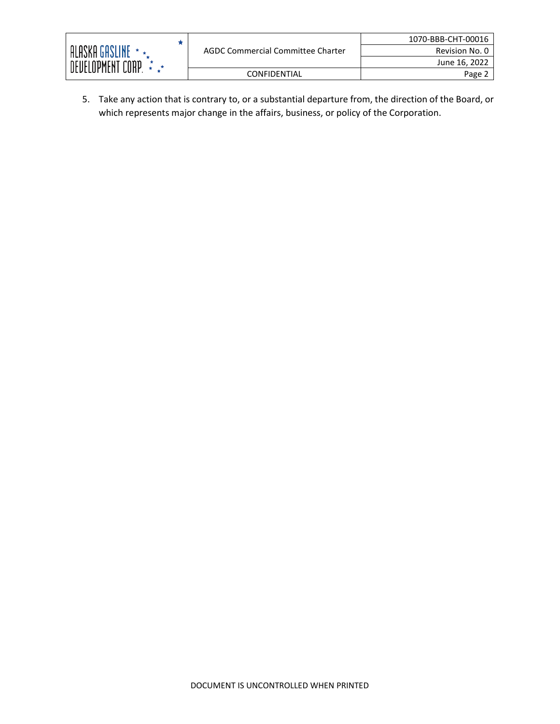

Revision No. 0 June 16, 2022

5. Take any action that is contrary to, or a substantial departure from, the direction of the Board, or which represents major change in the affairs, business, or policy of the Corporation.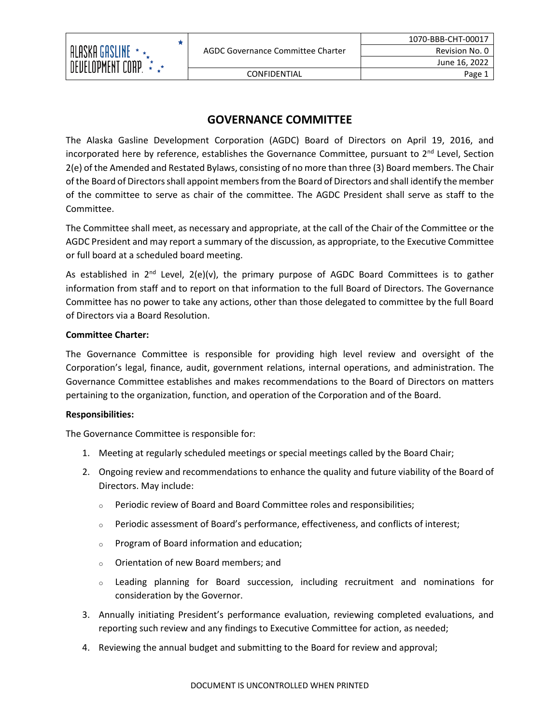

CONFIDENTIAL Page 1

# **GOVERNANCE COMMITTEE**

The Alaska Gasline Development Corporation (AGDC) Board of Directors on April 19, 2016, and incorporated here by reference, establishes the Governance Committee, pursuant to  $2<sup>nd</sup>$  Level, Section 2(e) of the Amended and Restated Bylaws, consisting of no more than three (3) Board members. The Chair of the Board of Directors shall appoint members from the Board of Directors and shall identify the member of the committee to serve as chair of the committee. The AGDC President shall serve as staff to the Committee.

The Committee shall meet, as necessary and appropriate, at the call of the Chair of the Committee or the AGDC President and may report a summary of the discussion, as appropriate, to the Executive Committee or full board at a scheduled board meeting.

As established in  $2^{nd}$  Level,  $2(e)(v)$ , the primary purpose of AGDC Board Committees is to gather information from staff and to report on that information to the full Board of Directors. The Governance Committee has no power to take any actions, other than those delegated to committee by the full Board of Directors via a Board Resolution.

## **Committee Charter:**

The Governance Committee is responsible for providing high level review and oversight of the Corporation's legal, finance, audit, government relations, internal operations, and administration. The Governance Committee establishes and makes recommendations to the Board of Directors on matters pertaining to the organization, function, and operation of the Corporation and of the Board.

## **Responsibilities:**

The Governance Committee is responsible for:

- 1. Meeting at regularly scheduled meetings or special meetings called by the Board Chair;
- 2. Ongoing review and recommendations to enhance the quality and future viability of the Board of Directors. May include:
	- <sup>o</sup> Periodic review of Board and Board Committee roles and responsibilities;
	- $\circ$  Periodic assessment of Board's performance, effectiveness, and conflicts of interest;
	- <sup>o</sup> Program of Board information and education;
	- <sup>o</sup> Orientation of new Board members; and
	- <sup>o</sup> Leading planning for Board succession, including recruitment and nominations for consideration by the Governor.
- 3. Annually initiating President's performance evaluation, reviewing completed evaluations, and reporting such review and any findings to Executive Committee for action, as needed;
- 4. Reviewing the annual budget and submitting to the Board for review and approval;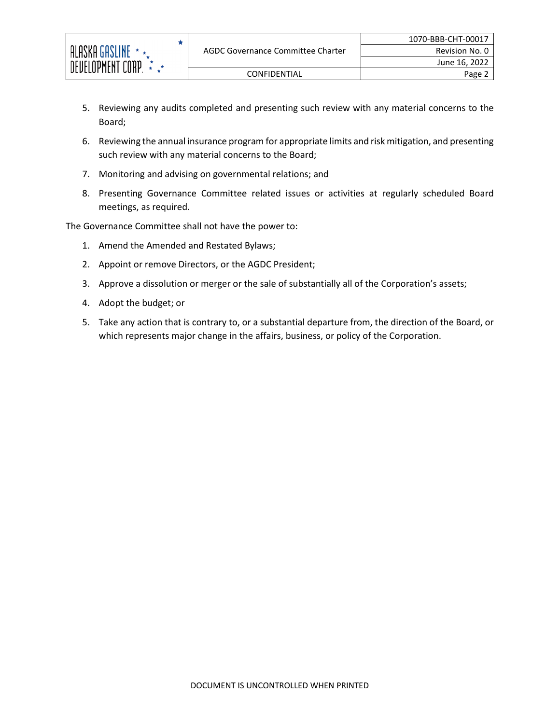- 5. Reviewing any audits completed and presenting such review with any material concerns to the Board;
- 6. Reviewing the annual insurance program for appropriate limits and risk mitigation, and presenting such review with any material concerns to the Board;
- 7. Monitoring and advising on governmental relations; and
- 8. Presenting Governance Committee related issues or activities at regularly scheduled Board meetings, as required.

The Governance Committee shall not have the power to:

★

- 1. Amend the Amended and Restated Bylaws;
- 2. Appoint or remove Directors, or the AGDC President;
- 3. Approve a dissolution or merger or the sale of substantially all of the Corporation's assets;
- 4. Adopt the budget; or
- 5. Take any action that is contrary to, or a substantial departure from, the direction of the Board, or which represents major change in the affairs, business, or policy of the Corporation.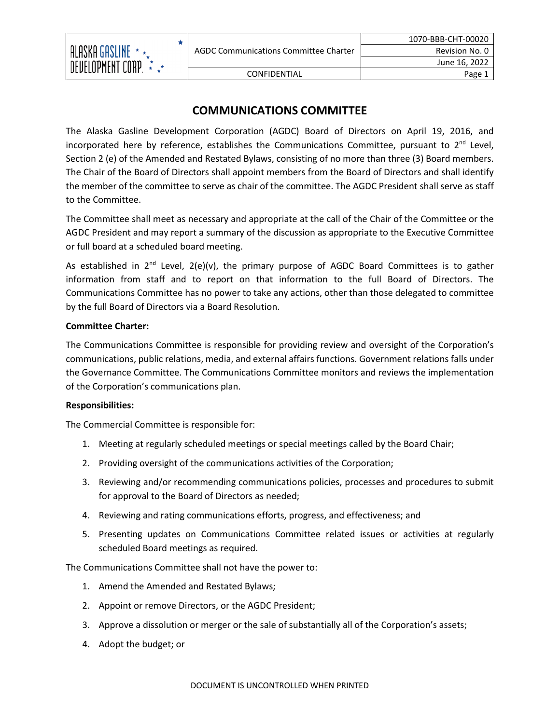

# **COMMUNICATIONS COMMITTEE**

The Alaska Gasline Development Corporation (AGDC) Board of Directors on April 19, 2016, and incorporated here by reference, establishes the Communications Committee, pursuant to  $2<sup>nd</sup>$  Level, Section 2 (e) of the Amended and Restated Bylaws, consisting of no more than three (3) Board members. The Chair of the Board of Directors shall appoint members from the Board of Directors and shall identify the member of the committee to serve as chair of the committee. The AGDC President shall serve as staff to the Committee.

The Committee shall meet as necessary and appropriate at the call of the Chair of the Committee or the AGDC President and may report a summary of the discussion as appropriate to the Executive Committee or full board at a scheduled board meeting.

As established in  $2^{nd}$  Level,  $2(e)(v)$ , the primary purpose of AGDC Board Committees is to gather information from staff and to report on that information to the full Board of Directors. The Communications Committee has no power to take any actions, other than those delegated to committee by the full Board of Directors via a Board Resolution.

## **Committee Charter:**

The Communications Committee is responsible for providing review and oversight of the Corporation's communications, public relations, media, and external affairs functions. Government relations falls under the Governance Committee. The Communications Committee monitors and reviews the implementation of the Corporation's communications plan.

## **Responsibilities:**

The Commercial Committee is responsible for:

- 1. Meeting at regularly scheduled meetings or special meetings called by the Board Chair;
- 2. Providing oversight of the communications activities of the Corporation;
- 3. Reviewing and/or recommending communications policies, processes and procedures to submit for approval to the Board of Directors as needed;
- 4. Reviewing and rating communications efforts, progress, and effectiveness; and
- 5. Presenting updates on Communications Committee related issues or activities at regularly scheduled Board meetings as required.

The Communications Committee shall not have the power to:

- 1. Amend the Amended and Restated Bylaws;
- 2. Appoint or remove Directors, or the AGDC President;
- 3. Approve a dissolution or merger or the sale of substantially all of the Corporation's assets;
- 4. Adopt the budget; or